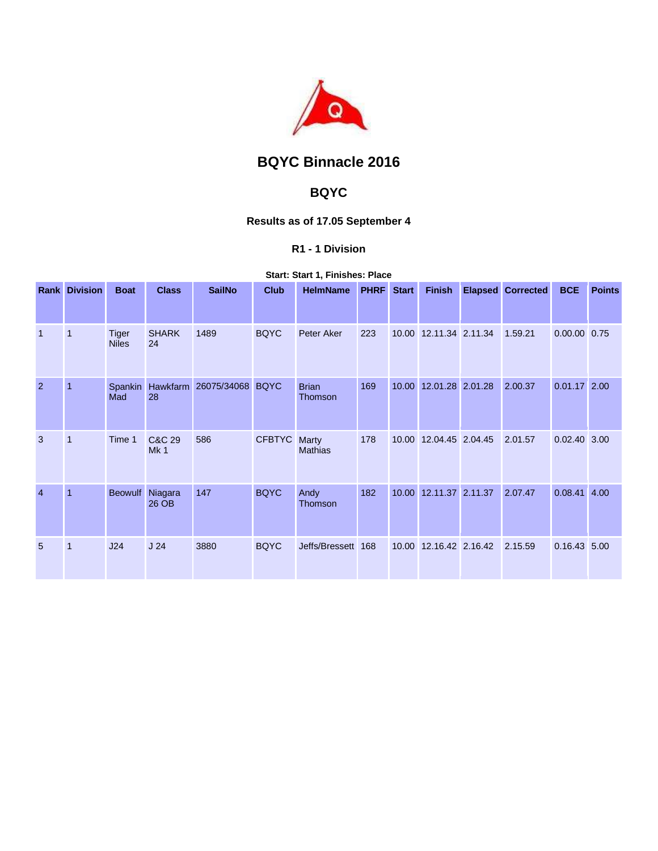

# **BQYC Binnacle 2016**

## **BQYC**

### **Results as of 17.05 September 4**

#### **R1 - 1 Division**

**Start: Start 1, Finishes: Place** 

|                | <b>Rank Division</b> | <b>Boat</b>                  | <b>Class</b>       | <b>SailNo</b>    | <b>Club</b>   | <b>HelmName</b>         | <b>PHRF</b> | <b>Start</b> | <b>Finish</b>          | <b>Elapsed Corrected</b> | <b>BCE</b>     | <b>Points</b> |
|----------------|----------------------|------------------------------|--------------------|------------------|---------------|-------------------------|-------------|--------------|------------------------|--------------------------|----------------|---------------|
| $\overline{1}$ | $\overline{1}$       | <b>Tiger</b><br><b>Niles</b> | <b>SHARK</b><br>24 | 1489             | <b>BQYC</b>   | Peter Aker              | 223         |              | 10.00 12.11.34 2.11.34 | 1.59.21                  | 0.00.00 0.75   |               |
| $\overline{2}$ | $\overline{1}$       | Spankin<br>Mad               | Hawkfarm<br>28     | 26075/34068 BQYC |               | <b>Brian</b><br>Thomson | 169         | 10.00        | 12.01.28 2.01.28       | 2.00.37                  | $0.01.17$ 2.00 |               |
| 3              | $\mathbf{1}$         | Time 1                       | C&C 29<br>Mk1      | 586              | <b>CFBTYC</b> | Marty<br><b>Mathias</b> | 178         |              | 10.00 12.04.45 2.04.45 | 2.01.57                  | $0.02.40$ 3.00 |               |
| $\overline{4}$ | $\overline{1}$       | <b>Beowulf</b>               | Niagara<br>26 OB   | 147              | <b>BQYC</b>   | Andy<br>Thomson         | 182         |              | 10.00 12.11.37 2.11.37 | 2.07.47                  | $0.08.41$ 4.00 |               |
| 5              | $\mathbf{1}$         | J24                          | J <sub>24</sub>    | 3880             | <b>BQYC</b>   | Jeffs/Bressett 168      |             |              | 10.00 12.16.42 2.16.42 | 2.15.59                  | $0.16.43$ 5.00 |               |